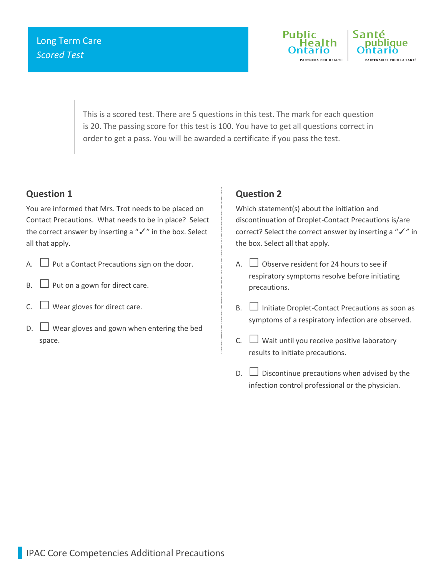

This is a scored test. There are 5 questions in this test. The mark for each question is 20. The passing score for this test is 100. You have to get all questions correct in order to get a pass. You will be awarded a certificate if you pass the test.

## **Question 1**

You are informed that Mrs. Trot needs to be placed on Contact Precautions. What needs to be in place? Select the correct answer by inserting a "✓" in the box. Select all that apply.

- A.  $\Box$  Put a Contact Precautions sign on the door.
- $B.$  Put on a gown for direct care.
- $C.$  Wear gloves for direct care.
- $\Box$  Wear gloves and gown when entering the bed space.

## **Question 2**

Which statement(s) about the initiation and discontinuation of Droplet-Contact Precautions is/are correct? Select the correct answer by inserting a "✓" in the box. Select all that apply.

- A.  $\Box$  Observe resident for 24 hours to see if respiratory symptoms resolve before initiating precautions.
- $B. \Box$  Initiate Droplet-Contact Precautions as soon as symptoms of a respiratory infection are observed.
- C.  $\Box$  Wait until you receive positive laboratory results to initiate precautions.
- $D.$   $\square$  Discontinue precautions when advised by the infection control professional or the physician.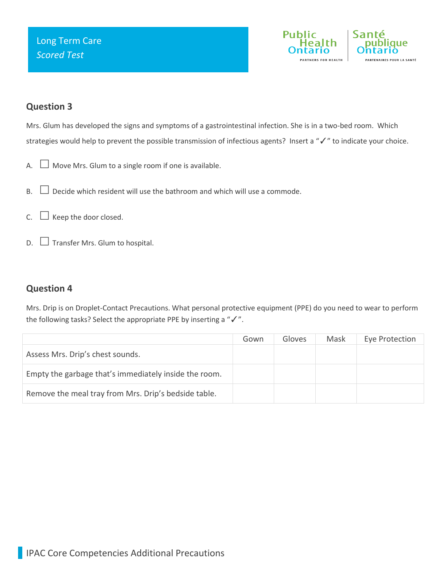

# **Question 3**

Mrs. Glum has developed the signs and symptoms of a gastrointestinal infection. She is in a two-bed room. Which strategies would help to prevent the possible transmission of infectious agents? Insert a "✓" to indicate your choice.

- A.  $\Box$  Move Mrs. Glum to a single room if one is available.
- $B. \Box$  Decide which resident will use the bathroom and which will use a commode.
- $C.$   $\Box$  Keep the door closed.
- $D.$   $\square$  Transfer Mrs. Glum to hospital.

## **Question 4**

Mrs. Drip is on Droplet-Contact Precautions. What personal protective equipment (PPE) do you need to wear to perform the following tasks? Select the appropriate PPE by inserting a "✓".

|                                                       | Gown | Gloves | Mask | Eye Protection |
|-------------------------------------------------------|------|--------|------|----------------|
| Assess Mrs. Drip's chest sounds.                      |      |        |      |                |
| Empty the garbage that's immediately inside the room. |      |        |      |                |
| Remove the meal tray from Mrs. Drip's bedside table.  |      |        |      |                |